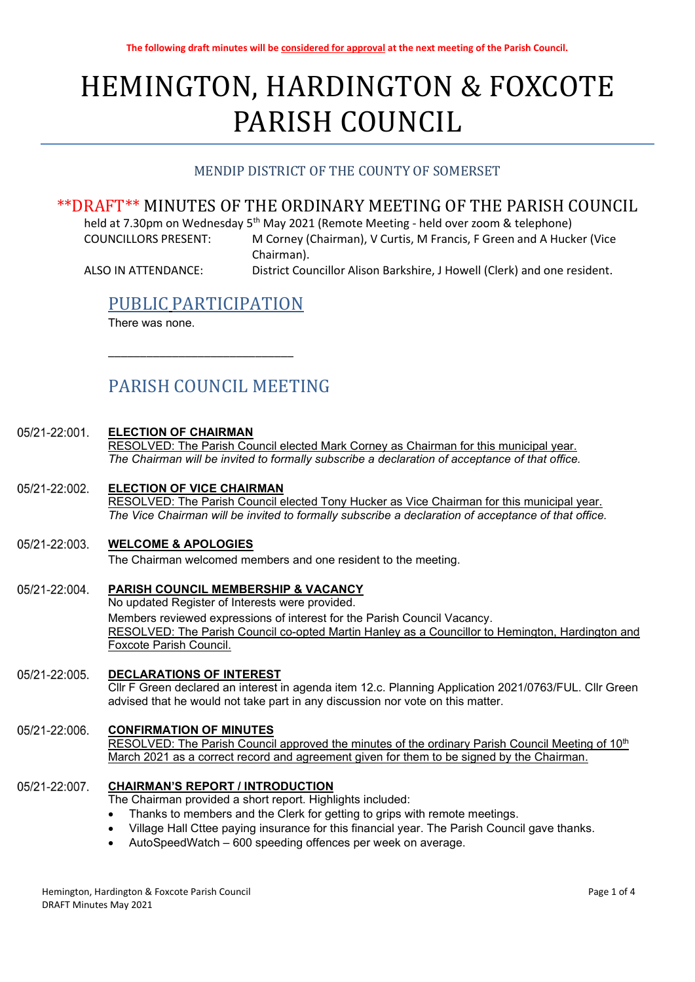# HEMINGTON, HARDINGTON & FOXCOTE PARISH COUNCIL

# MENDIP DISTRICT OF THE COUNTY OF SOMERSET

# \*\*DRAFT\*\* MINUTES OF THE ORDINARY MEETING OF THE PARISH COUNCIL

held at 7.30pm on Wednesday 5<sup>th</sup> May 2021 (Remote Meeting - held over zoom & telephone) COUNCILLORS PRESENT: M Corney (Chairman), V Curtis, M Francis, F Green and A Hucker (Vice

 Chairman). ALSO IN ATTENDANCE: District Councillor Alison Barkshire, J Howell (Clerk) and one resident.

# PUBLIC PARTICIPATION

\_\_\_\_\_\_\_\_\_\_\_\_\_\_\_\_\_\_\_\_\_\_\_\_\_\_\_\_\_

There was none.

# PARISH COUNCIL MEETING

#### $05/21 - 22:001$ ELECTION OF CHAIRMAN

RESOLVED: The Parish Council elected Mark Corney as Chairman for this municipal year. The Chairman will be invited to formally subscribe a declaration of acceptance of that office.

#### 05/21-22:002. ELECTION OF VICE CHAIRMAN

RESOLVED: The Parish Council elected Tony Hucker as Vice Chairman for this municipal year. The Vice Chairman will be invited to formally subscribe a declaration of acceptance of that office.

#### 05/21-22:003. WELCOME & APOLOGIES

The Chairman welcomed members and one resident to the meeting.

### 05/21-22:004. PARISH COUNCIL MEMBERSHIP & VACANCY No updated Register of Interests were provided. Members reviewed expressions of interest for the Parish Council Vacancy. RESOLVED: The Parish Council co-opted Martin Hanley as a Councillor to Hemington, Hardington and Foxcote Parish Council.

05/21-22:005. DECLARATIONS OF INTEREST Cllr F Green declared an interest in agenda item 12.c. Planning Application 2021/0763/FUL. Cllr Green advised that he would not take part in any discussion nor vote on this matter.

#### CONFIRMATION OF MINUTES 05/21-22:006.

RESOLVED: The Parish Council approved the minutes of the ordinary Parish Council Meeting of 10<sup>th</sup> March 2021 as a correct record and agreement given for them to be signed by the Chairman.

#### 05/21-22:007. CHAIRMAN'S REPORT / INTRODUCTION

The Chairman provided a short report. Highlights included:

- Thanks to members and the Clerk for getting to grips with remote meetings.
- Village Hall Cttee paying insurance for this financial year. The Parish Council gave thanks.
- AutoSpeedWatch 600 speeding offences per week on average.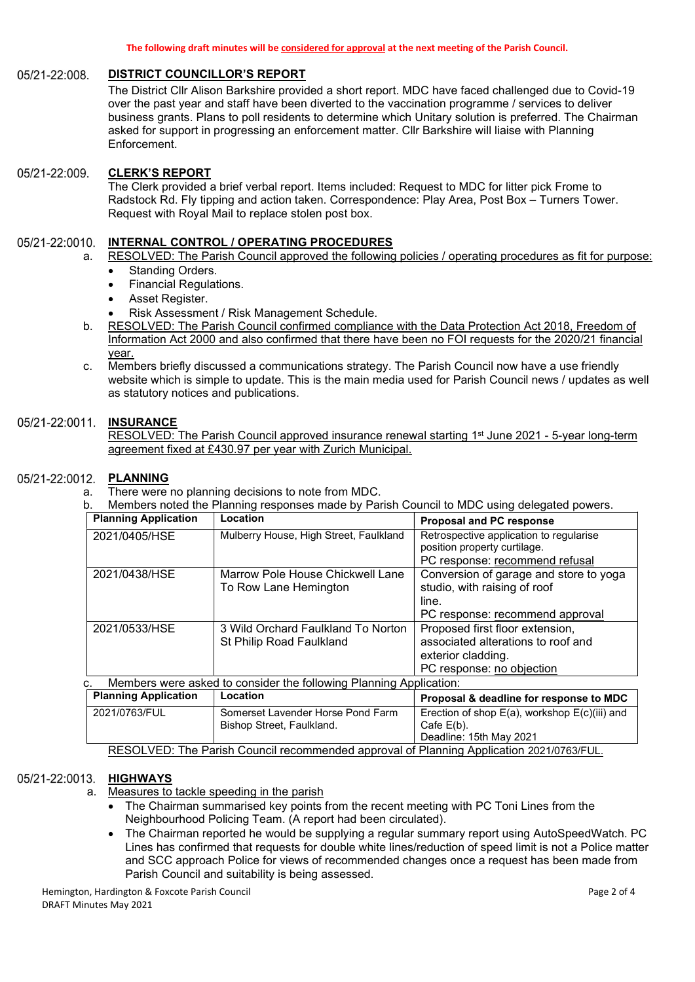#### 05/21-22:008. DISTRICT COUNCILLOR'S REPORT

The District Cllr Alison Barkshire provided a short report. MDC have faced challenged due to Covid-19 over the past year and staff have been diverted to the vaccination programme / services to deliver business grants. Plans to poll residents to determine which Unitary solution is preferred. The Chairman asked for support in progressing an enforcement matter. Cllr Barkshire will liaise with Planning Enforcement.

#### CLERK'S REPORT 05/21-22:009.

The Clerk provided a brief verbal report. Items included: Request to MDC for litter pick Frome to Radstock Rd. Fly tipping and action taken. Correspondence: Play Area, Post Box – Turners Tower. Request with Royal Mail to replace stolen post box.

#### 05/21-22:0010. INTERNAL CONTROL / OPERATING PROCEDURES

- a. RESOLVED: The Parish Council approved the following policies / operating procedures as fit for purpose:
	- Standing Orders.
	- Financial Regulations.
	- Asset Register.
	- Risk Assessment / Risk Management Schedule.
- b. RESOLVED: The Parish Council confirmed compliance with the Data Protection Act 2018, Freedom of Information Act 2000 and also confirmed that there have been no FOI requests for the 2020/21 financial year.
- c. Members briefly discussed a communications strategy. The Parish Council now have a use friendly website which is simple to update. This is the main media used for Parish Council news / updates as well as statutory notices and publications.

#### 05/21-22:0011. **INSURANCE**

RESOLVED: The Parish Council approved insurance renewal starting 1<sup>st</sup> June 2021 - 5-year long-term agreement fixed at £430.97 per year with Zurich Municipal.

#### 05/21-22:0012. PLANNING

- a. There were no planning decisions to note from MDC.
- b. Members noted the Planning responses made by Parish Council to MDC using delegated powers.

| <b>Planning Application</b> | Location                                                           | <b>Proposal and PC response</b>                                         |
|-----------------------------|--------------------------------------------------------------------|-------------------------------------------------------------------------|
| 2021/0405/HSE               | Mulberry House, High Street, Faulkland                             | Retrospective application to regularise<br>position property curtilage. |
|                             |                                                                    | PC response: recommend refusal                                          |
| 2021/0438/HSE               | Marrow Pole House Chickwell Lane                                   | Conversion of garage and store to yoga                                  |
|                             | To Row Lane Hemington                                              | studio, with raising of roof                                            |
|                             |                                                                    | line.                                                                   |
|                             |                                                                    | PC response: recommend approval                                         |
| 2021/0533/HSE               | 3 Wild Orchard Faulkland To Norton                                 | Proposed first floor extension,                                         |
|                             | St Philip Road Faulkland                                           | associated alterations to roof and                                      |
|                             |                                                                    | exterior cladding.                                                      |
|                             |                                                                    | PC response: no objection                                               |
| C.                          | Members were asked to consider the following Planning Application: |                                                                         |
| <b>Planning Application</b> | Location                                                           | Proposal & deadline for response to MDC                                 |
| 2021/0763/FUL               | Somerset Lavender Horse Pond Farm                                  | Erection of shop E(a), workshop E(c)(iii) and                           |
|                             | Bishop Street, Faulkland.                                          | Cafe $E(b)$ .                                                           |
|                             |                                                                    | Deadline: 15th May 2021                                                 |

RESOLVED: The Parish Council recommended approval of Planning Application 2021/0763/FUL.

#### 05/21-22:0013. HIGHWAYS

- a. Measures to tackle speeding in the parish
	- The Chairman summarised key points from the recent meeting with PC Toni Lines from the Neighbourhood Policing Team. (A report had been circulated).
	- The Chairman reported he would be supplying a regular summary report using AutoSpeedWatch. PC Lines has confirmed that requests for double white lines/reduction of speed limit is not a Police matter and SCC approach Police for views of recommended changes once a request has been made from Parish Council and suitability is being assessed.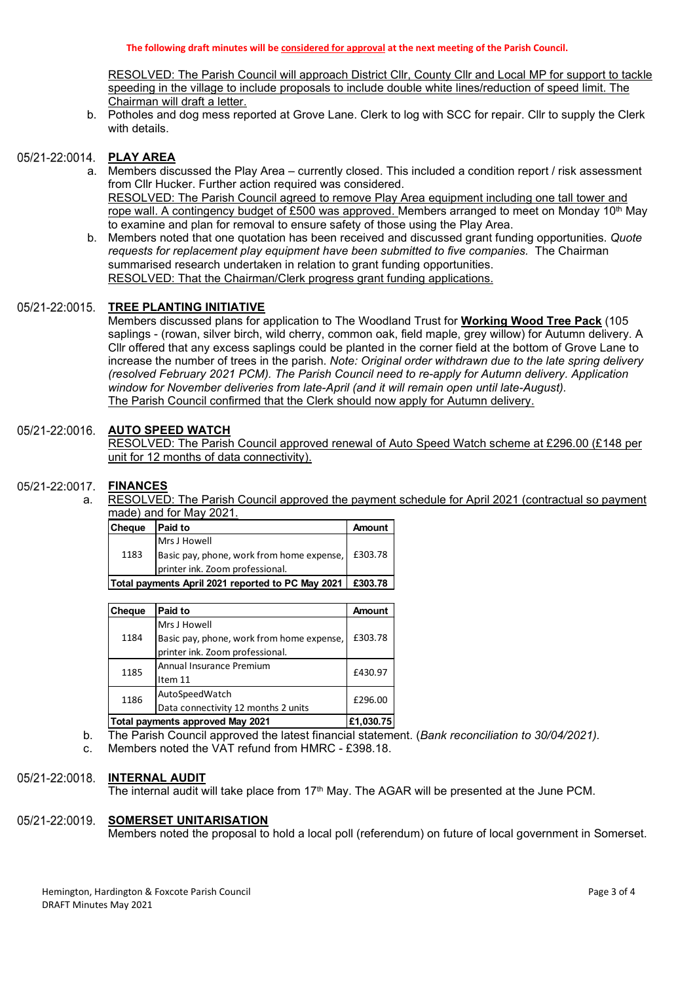RESOLVED: The Parish Council will approach District Cllr, County Cllr and Local MP for support to tackle speeding in the village to include proposals to include double white lines/reduction of speed limit. The Chairman will draft a letter.

b. Potholes and dog mess reported at Grove Lane. Clerk to log with SCC for repair. Cllr to supply the Clerk with details.

# 05/21-22:0014. PLAY AREA

- a. Members discussed the Play Area currently closed. This included a condition report / risk assessment from Cllr Hucker. Further action required was considered. RESOLVED: The Parish Council agreed to remove Play Area equipment including one tall tower and rope wall. A contingency budget of £500 was approved. Members arranged to meet on Monday  $10<sup>th</sup>$  May to examine and plan for removal to ensure safety of those using the Play Area.
- b. Members noted that one quotation has been received and discussed grant funding opportunities. Quote requests for replacement play equipment have been submitted to five companies. The Chairman summarised research undertaken in relation to grant funding opportunities. RESOLVED: That the Chairman/Clerk progress grant funding applications.

#### 05/21-22:0015. TREE PLANTING INITIATIVE

Members discussed plans for application to The Woodland Trust for Working Wood Tree Pack (105 saplings - (rowan, silver birch, wild cherry, common oak, field maple, grey willow) for Autumn delivery. A Cllr offered that any excess saplings could be planted in the corner field at the bottom of Grove Lane to increase the number of trees in the parish. Note: Original order withdrawn due to the late spring delivery (resolved February 2021 PCM). The Parish Council need to re-apply for Autumn delivery. Application window for November deliveries from late-April (and it will remain open until late-August). The Parish Council confirmed that the Clerk should now apply for Autumn delivery. o examine and plan tor removal to ensure astery of those using the Play Area.<br>
Members noted that one quotation has been received and discussed grant funding opportunities. Quote<br>
equotes for replacement play equipment hav INEE PLANTING INTITUATIVE<br>
INTERFERICATIVE SURVENTIAL THE VOOD CHARGE THE VID THE VID THE VID THE VID THE VID THE VID THE VID THE PAID THE CHARGE AND CONCOUNTS (CONCOUNTS) (CONCOUNTS) (The CHARGE AMOUNTS (CHARGE AMOUNTS) mmarised research undertaken in relation to grant funding opportunities.<br>
SOLVED: That the Chairman/Clerk progress grant funding opportunities.<br>
<u>REE PLANTING INITIATIVE</u><br>
minimary discussed plans for application to The Wo

### 05/21-22:0016. AUTO SPEED WATCH

# 05/21-22:0017. FINANCES

a. RESOLVED: The Parish Council approved the payment schedule for April 2021 (contractual so payment made) and for May 2021.

| Cheque                                                      | <b>Paid to</b>                                      | <b>Amount</b> |
|-------------------------------------------------------------|-----------------------------------------------------|---------------|
|                                                             | Mrs J Howell                                        |               |
| 1183                                                        | Basic pay, phone, work from home expense,   £303.78 |               |
|                                                             | printer ink. Zoom professional.                     |               |
| Total payments April 2021 reported to PC May 2021   £303.78 |                                                     |               |

|                                                   |                                                                                             |           | Cllr offered that any excess saplings could be planted in the corner field at the bottom of Grove Lane to |
|---------------------------------------------------|---------------------------------------------------------------------------------------------|-----------|-----------------------------------------------------------------------------------------------------------|
|                                                   |                                                                                             |           | ncrease the number of trees in the parish. Note: Original order withdrawn due to the late spring delivery |
|                                                   |                                                                                             |           | resolved February 2021 PCM). The Parish Council need to re-apply for Autumn delivery. Application)        |
|                                                   | window for November deliveries from late-April (and it will remain open until late-August). |           |                                                                                                           |
|                                                   | The Parish Council confirmed that the Clerk should now apply for Autumn delivery.           |           |                                                                                                           |
|                                                   |                                                                                             |           |                                                                                                           |
|                                                   | <b>AUTO SPEED WATCH</b>                                                                     |           |                                                                                                           |
|                                                   |                                                                                             |           | RESOLVED: The Parish Council approved renewal of Auto Speed Watch scheme at £296.00 (£148 per             |
|                                                   | unit for 12 months of data connectivity).                                                   |           |                                                                                                           |
|                                                   |                                                                                             |           |                                                                                                           |
| FINANCES                                          |                                                                                             |           |                                                                                                           |
|                                                   |                                                                                             |           | RESOLVED: The Parish Council approved the payment schedule for April 2021 (contractual so payment         |
|                                                   | made) and for May 2021.                                                                     |           |                                                                                                           |
| Cheque                                            | <b>Paid to</b>                                                                              | Amount    |                                                                                                           |
|                                                   | Mrs J Howell                                                                                |           |                                                                                                           |
| 1183                                              | Basic pay, phone, work from home expense,                                                   | £303.78   |                                                                                                           |
|                                                   | printer ink. Zoom professional.                                                             |           |                                                                                                           |
| Total payments April 2021 reported to PC May 2021 |                                                                                             | £303.78   |                                                                                                           |
|                                                   |                                                                                             |           |                                                                                                           |
| Cheque                                            | <b>Paid to</b>                                                                              | Amount    |                                                                                                           |
|                                                   | Mrs J Howell                                                                                |           |                                                                                                           |
| 1184                                              | Basic pay, phone, work from home expense,                                                   | £303.78   |                                                                                                           |
|                                                   | printer ink. Zoom professional.                                                             |           |                                                                                                           |
| 1185                                              | Annual Insurance Premium                                                                    | £430.97   |                                                                                                           |
|                                                   | Item 11                                                                                     |           |                                                                                                           |
| 1186                                              | AutoSpeedWatch                                                                              | £296.00   |                                                                                                           |
|                                                   | Data connectivity 12 months 2 units                                                         |           |                                                                                                           |
| Total payments approved May 2021                  |                                                                                             | £1,030.75 |                                                                                                           |
|                                                   |                                                                                             |           | The Parish Council approved the latest financial statement. (Bank reconciliation to 30/04/2021).          |
|                                                   | Members noted the VAT refund from HMRC - £398.18.                                           |           |                                                                                                           |
|                                                   |                                                                                             |           |                                                                                                           |
|                                                   | INTERNAL AUDIT                                                                              |           |                                                                                                           |
|                                                   |                                                                                             |           |                                                                                                           |

b. The Parish Council approved the latest financial statement. (Bank reconciliation to 30/04/2021).

c. Members noted the VAT refund from HMRC - £398.18.

#### 05/21-22:0018. INTERNAL AUDIT

The internal audit will take place from 17<sup>th</sup> May. The AGAR will be presented at the June PCM.

# 05/21-22:0019. SOMERSET UNITARISATION

Members noted the proposal to hold a local poll (referendum) on future of local government in Somerset.